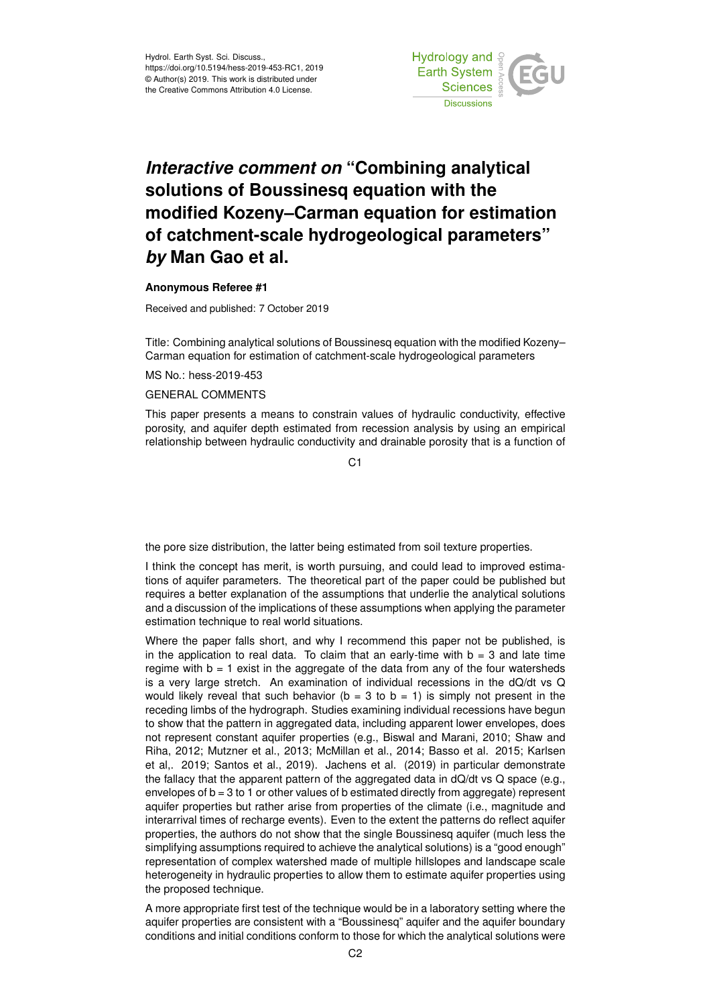

## *Interactive comment on* **"Combining analytical solutions of Boussinesq equation with the modified Kozeny–Carman equation for estimation of catchment-scale hydrogeological parameters"** *by* **Man Gao et al.**

## **Anonymous Referee #1**

Received and published: 7 October 2019

Title: Combining analytical solutions of Boussinesq equation with the modified Kozeny– Carman equation for estimation of catchment-scale hydrogeological parameters

MS No.: hess-2019-453

## GENERAL COMMENTS

This paper presents a means to constrain values of hydraulic conductivity, effective porosity, and aquifer depth estimated from recession analysis by using an empirical relationship between hydraulic conductivity and drainable porosity that is a function of

C1

the pore size distribution, the latter being estimated from soil texture properties.

I think the concept has merit, is worth pursuing, and could lead to improved estimations of aquifer parameters. The theoretical part of the paper could be published but requires a better explanation of the assumptions that underlie the analytical solutions and a discussion of the implications of these assumptions when applying the parameter estimation technique to real world situations.

Where the paper falls short, and why I recommend this paper not be published, is in the application to real data. To claim that an early-time with  $b = 3$  and late time regime with  $b = 1$  exist in the aggregate of the data from any of the four watersheds is a very large stretch. An examination of individual recessions in the dQ/dt vs Q would likely reveal that such behavior ( $b = 3$  to  $b = 1$ ) is simply not present in the receding limbs of the hydrograph. Studies examining individual recessions have begun to show that the pattern in aggregated data, including apparent lower envelopes, does not represent constant aquifer properties (e.g., Biswal and Marani, 2010; Shaw and Riha, 2012; Mutzner et al., 2013; McMillan et al., 2014; Basso et al. 2015; Karlsen et al,. 2019; Santos et al., 2019). Jachens et al. (2019) in particular demonstrate the fallacy that the apparent pattern of the aggregated data in dQ/dt vs Q space (e.g., envelopes of  $b = 3$  to 1 or other values of b estimated directly from aggregate) represent aquifer properties but rather arise from properties of the climate (i.e., magnitude and interarrival times of recharge events). Even to the extent the patterns do reflect aquifer properties, the authors do not show that the single Boussinesq aquifer (much less the simplifying assumptions required to achieve the analytical solutions) is a "good enough" representation of complex watershed made of multiple hillslopes and landscape scale heterogeneity in hydraulic properties to allow them to estimate aquifer properties using the proposed technique.

A more appropriate first test of the technique would be in a laboratory setting where the aquifer properties are consistent with a "Boussinesq" aquifer and the aquifer boundary conditions and initial conditions conform to those for which the analytical solutions were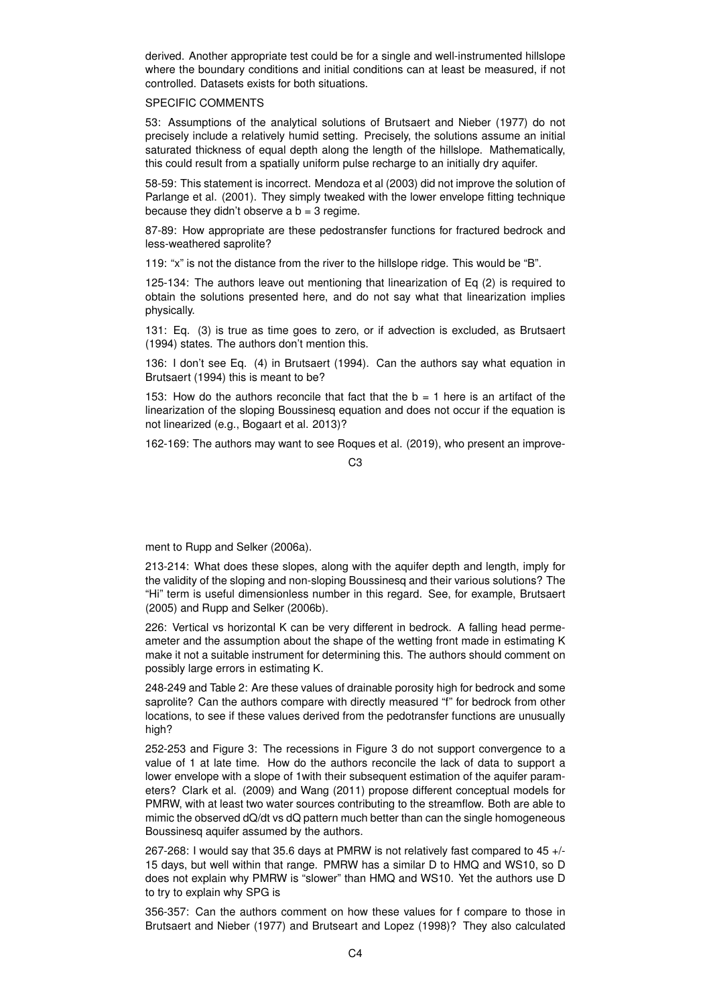derived. Another appropriate test could be for a single and well-instrumented hillslope where the boundary conditions and initial conditions can at least be measured, if not controlled. Datasets exists for both situations.

## SPECIFIC COMMENTS

53: Assumptions of the analytical solutions of Brutsaert and Nieber (1977) do not precisely include a relatively humid setting. Precisely, the solutions assume an initial saturated thickness of equal depth along the length of the hillslope. Mathematically, this could result from a spatially uniform pulse recharge to an initially dry aquifer.

58-59: This statement is incorrect. Mendoza et al (2003) did not improve the solution of Parlange et al. (2001). They simply tweaked with the lower envelope fitting technique because they didn't observe a  $b = 3$  regime.

87-89: How appropriate are these pedostransfer functions for fractured bedrock and less-weathered saprolite?

119: "x" is not the distance from the river to the hillslope ridge. This would be "B".

125-134: The authors leave out mentioning that linearization of Eq (2) is required to obtain the solutions presented here, and do not say what that linearization implies physically.

131: Eq. (3) is true as time goes to zero, or if advection is excluded, as Brutsaert (1994) states. The authors don't mention this.

136: I don't see Eq. (4) in Brutsaert (1994). Can the authors say what equation in Brutsaert (1994) this is meant to be?

153: How do the authors reconcile that fact that the  $b = 1$  here is an artifact of the linearization of the sloping Boussinesq equation and does not occur if the equation is not linearized (e.g., Bogaart et al. 2013)?

162-169: The authors may want to see Roques et al. (2019), who present an improve-

 $C<sub>3</sub>$ 

ment to Rupp and Selker (2006a).

213-214: What does these slopes, along with the aquifer depth and length, imply for the validity of the sloping and non-sloping Boussinesq and their various solutions? The "Hi" term is useful dimensionless number in this regard. See, for example, Brutsaert (2005) and Rupp and Selker (2006b).

226: Vertical vs horizontal K can be very different in bedrock. A falling head permeameter and the assumption about the shape of the wetting front made in estimating K make it not a suitable instrument for determining this. The authors should comment on possibly large errors in estimating K.

248-249 and Table 2: Are these values of drainable porosity high for bedrock and some saprolite? Can the authors compare with directly measured "f" for bedrock from other locations, to see if these values derived from the pedotransfer functions are unusually high?

252-253 and Figure 3: The recessions in Figure 3 do not support convergence to a value of 1 at late time. How do the authors reconcile the lack of data to support a lower envelope with a slope of 1with their subsequent estimation of the aquifer parameters? Clark et al. (2009) and Wang (2011) propose different conceptual models for PMRW, with at least two water sources contributing to the streamflow. Both are able to mimic the observed dQ/dt vs dQ pattern much better than can the single homogeneous Boussinesq aquifer assumed by the authors.

267-268: I would say that 35.6 days at PMRW is not relatively fast compared to 45 +/- 15 days, but well within that range. PMRW has a similar D to HMQ and WS10, so D does not explain why PMRW is "slower" than HMQ and WS10. Yet the authors use D to try to explain why SPG is

356-357: Can the authors comment on how these values for f compare to those in Brutsaert and Nieber (1977) and Brutseart and Lopez (1998)? They also calculated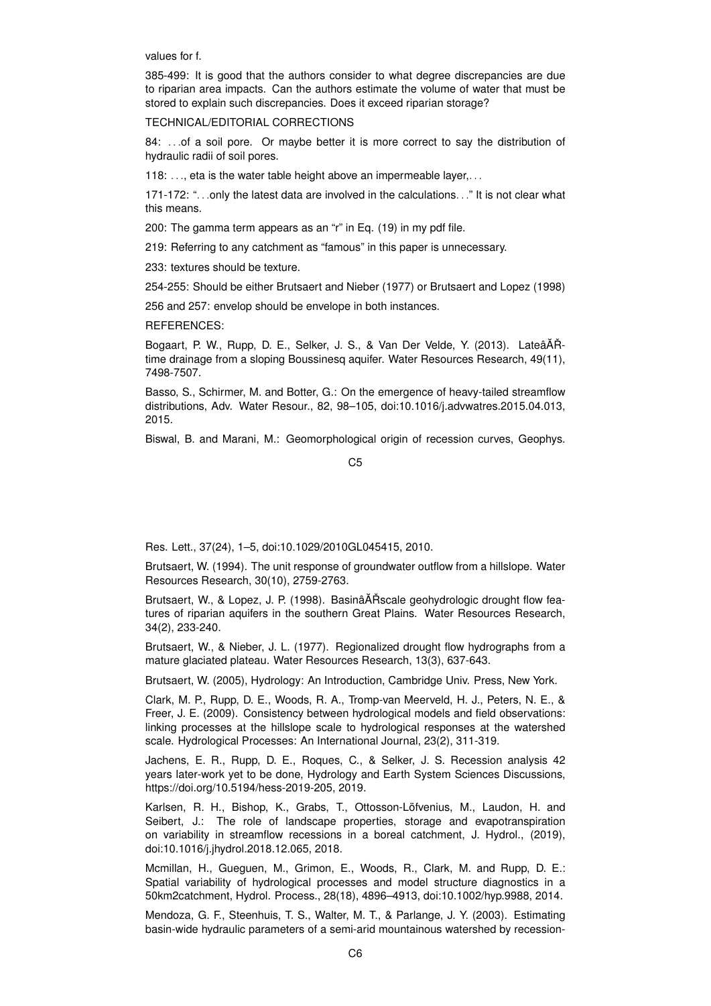values for f.

385-499: It is good that the authors consider to what degree discrepancies are due to riparian area impacts. Can the authors estimate the volume of water that must be stored to explain such discrepancies. Does it exceed riparian storage?

TECHNICAL/EDITORIAL CORRECTIONS

84: ... of a soil pore. Or maybe better it is more correct to say the distribution of hydraulic radii of soil pores.

118: ..., eta is the water table height above an impermeable layer,...

171-172: ". . .only the latest data are involved in the calculations. . ." It is not clear what this means.

200: The gamma term appears as an "r" in Eq. (19) in my pdf file.

219: Referring to any catchment as "famous" in this paper is unnecessary.

233: textures should be texture.

254-255: Should be either Brutsaert and Nieber (1977) or Brutsaert and Lopez (1998)

256 and 257: envelop should be envelope in both instances.

REFERENCES:

Bogaart, P. W., Rupp, D. E., Selker, J. S., & Van Der Velde, Y. (2013). LateâÅŘtime drainage from a sloping Boussinesq aquifer. Water Resources Research, 49(11), 7498-7507.

Basso, S., Schirmer, M. and Botter, G.: On the emergence of heavy-tailed streamflow distributions, Adv. Water Resour., 82, 98–105, doi:10.1016/j.advwatres.2015.04.013, 2015.

Biswal, B. and Marani, M.: Geomorphological origin of recession curves, Geophys.

C5

Res. Lett., 37(24), 1–5, doi:10.1029/2010GL045415, 2010.

Brutsaert, W. (1994). The unit response of groundwater outflow from a hillslope. Water Resources Research, 30(10), 2759-2763.

Brutsaert, W., & Lopez, J. P. (1998). BasinâĂŘscale geohydrologic drought flow features of riparian aquifers in the southern Great Plains. Water Resources Research, 34(2), 233-240.

Brutsaert, W., & Nieber, J. L. (1977). Regionalized drought flow hydrographs from a mature glaciated plateau. Water Resources Research, 13(3), 637-643.

Brutsaert, W. (2005), Hydrology: An Introduction, Cambridge Univ. Press, New York.

Clark, M. P., Rupp, D. E., Woods, R. A., Tromp-van Meerveld, H. J., Peters, N. E., & Freer, J. E. (2009). Consistency between hydrological models and field observations: linking processes at the hillslope scale to hydrological responses at the watershed scale. Hydrological Processes: An International Journal, 23(2), 311-319.

Jachens, E. R., Rupp, D. E., Roques, C., & Selker, J. S. Recession analysis 42 years later-work yet to be done, Hydrology and Earth System Sciences Discussions, https://doi.org/10.5194/hess-2019-205, 2019.

Karlsen, R. H., Bishop, K., Grabs, T., Ottosson-Löfvenius, M., Laudon, H. and Seibert, J.: The role of landscape properties, storage and evapotranspiration on variability in streamflow recessions in a boreal catchment, J. Hydrol., (2019), doi:10.1016/j.jhydrol.2018.12.065, 2018.

Mcmillan, H., Gueguen, M., Grimon, E., Woods, R., Clark, M. and Rupp, D. E.: Spatial variability of hydrological processes and model structure diagnostics in a 50km2catchment, Hydrol. Process., 28(18), 4896–4913, doi:10.1002/hyp.9988, 2014.

Mendoza, G. F., Steenhuis, T. S., Walter, M. T., & Parlange, J. Y. (2003). Estimating basin-wide hydraulic parameters of a semi-arid mountainous watershed by recession